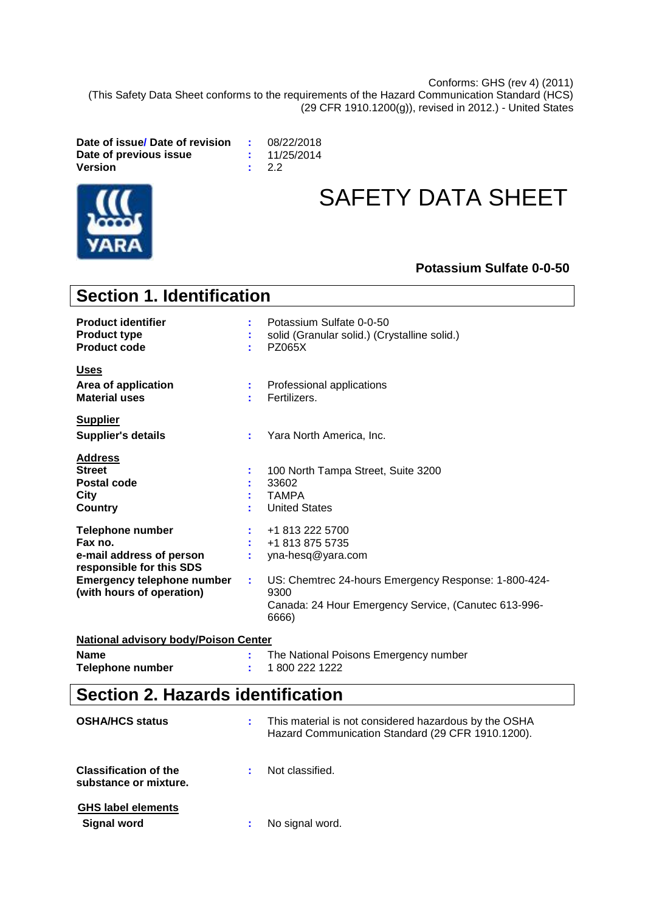Conforms: GHS (rev 4) (2011) (This Safety Data Sheet conforms to the requirements of the Hazard Communication Standard (HCS) (29 CFR 1910.1200(g)), revised in 2012.) - United States

**Date of issue/ Date of revision :** 08/22/2018 **Date of previous issue**  $\qquad$  **: Version :** 2.2



# SAFETY DATA SHEET

#### **Potassium Sulfate 0-0-50**

| <b>Section 1. Identification</b>                                                                                                                             |    |                                                                                                                                                                                          |  |
|--------------------------------------------------------------------------------------------------------------------------------------------------------------|----|------------------------------------------------------------------------------------------------------------------------------------------------------------------------------------------|--|
| <b>Product identifier</b><br><b>Product type</b><br><b>Product code</b>                                                                                      |    | Potassium Sulfate 0-0-50<br>solid (Granular solid.) (Crystalline solid.)<br><b>PZ065X</b>                                                                                                |  |
| <b>Uses</b><br>Area of application<br><b>Material uses</b>                                                                                                   |    | Professional applications<br>Fertilizers.                                                                                                                                                |  |
| <b>Supplier</b><br><b>Supplier's details</b>                                                                                                                 | ÷  | Yara North America, Inc.                                                                                                                                                                 |  |
| <b>Address</b><br><b>Street</b><br>Postal code<br>City<br><b>Country</b>                                                                                     |    | 100 North Tampa Street, Suite 3200<br>33602<br><b>TAMPA</b><br><b>United States</b>                                                                                                      |  |
| <b>Telephone number</b><br>Fax no.<br>e-mail address of person<br>responsible for this SDS<br><b>Emergency telephone number</b><br>(with hours of operation) | ÷. | +1 813 222 5700<br>+1 813 875 5735<br>yna-hesq@yara.com<br>US: Chemtrec 24-hours Emergency Response: 1-800-424-<br>9300<br>Canada: 24 Hour Emergency Service, (Canutec 613-996-<br>6666) |  |
| <b>National advisory body/Poison Center</b>                                                                                                                  |    |                                                                                                                                                                                          |  |
| <b>Name</b><br><b>Telephone number</b>                                                                                                                       |    | The National Poisons Emergency number<br>1800 222 1222                                                                                                                                   |  |
| <b>Section 2. Hazards identification</b>                                                                                                                     |    |                                                                                                                                                                                          |  |
| <b>OSHA/HCS status</b>                                                                                                                                       |    | This material is not considered hazardous by the OSHA<br>Hazard Communication Standard (29 CFR 1910.1200).                                                                               |  |

| <b>Classification of the</b><br>substance or mixture. | Not classified. |  |
|-------------------------------------------------------|-----------------|--|
| <b>GHS label elements</b>                             |                 |  |
| Signal word                                           | No signal word. |  |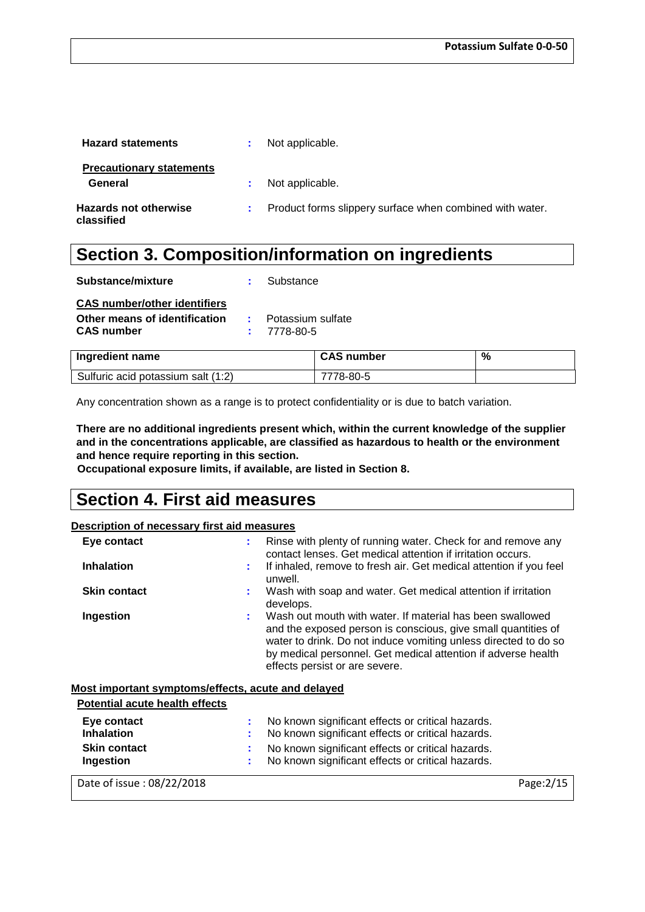| <b>Hazard statements</b>                   | Not applicable.                                            |
|--------------------------------------------|------------------------------------------------------------|
| <b>Precautionary statements</b><br>General | Not applicable.                                            |
| <b>Hazards not otherwise</b><br>classified | : Product forms slippery surface when combined with water. |

### **Section 3. Composition/information on ingredients**

| Substance/mixture                                                                         | Substance                            |
|-------------------------------------------------------------------------------------------|--------------------------------------|
| <b>CAS number/other identifiers</b><br>Other means of identification<br><b>CAS number</b> | : Potassium sulfate<br>$: 7778-80-5$ |
| Ingredient name                                                                           | <b>CAS number</b>                    |

| <b>Ingredient name</b>             | <b>CAS number</b> | % |
|------------------------------------|-------------------|---|
| Sulfuric acid potassium salt (1:2) | 7778-80-5         |   |

Any concentration shown as a range is to protect confidentiality or is due to batch variation.

**There are no additional ingredients present which, within the current knowledge of the supplier and in the concentrations applicable, are classified as hazardous to health or the environment and hence require reporting in this section.**

**Occupational exposure limits, if available, are listed in Section 8.**

### **Section 4. First aid measures**

#### **Description of necessary first aid measures**

| Eye contact         | Rinse with plenty of running water. Check for and remove any<br>contact lenses. Get medical attention if irritation occurs.                                                                                                                                                                      |
|---------------------|--------------------------------------------------------------------------------------------------------------------------------------------------------------------------------------------------------------------------------------------------------------------------------------------------|
| <b>Inhalation</b>   | If inhaled, remove to fresh air. Get medical attention if you feel<br>unwell.                                                                                                                                                                                                                    |
| <b>Skin contact</b> | Wash with soap and water. Get medical attention if irritation<br>develops.                                                                                                                                                                                                                       |
| Ingestion           | Wash out mouth with water. If material has been swallowed<br>and the exposed person is conscious, give small quantities of<br>water to drink. Do not induce vomiting unless directed to do so<br>by medical personnel. Get medical attention if adverse health<br>effects persist or are severe. |

#### **Most important symptoms/effects, acute and delayed**

| <b>Potential acute health effects</b> |                                                     |
|---------------------------------------|-----------------------------------------------------|
| Eye contact                           | : No known significant effects or critical hazards. |
| <b>Inhalation</b>                     | : No known significant effects or critical hazards. |
| <b>Skin contact</b>                   | : No known significant effects or critical hazards. |
| Ingestion                             | : No known significant effects or critical hazards. |
|                                       |                                                     |

Date of issue : 08/22/2018 Page:2/15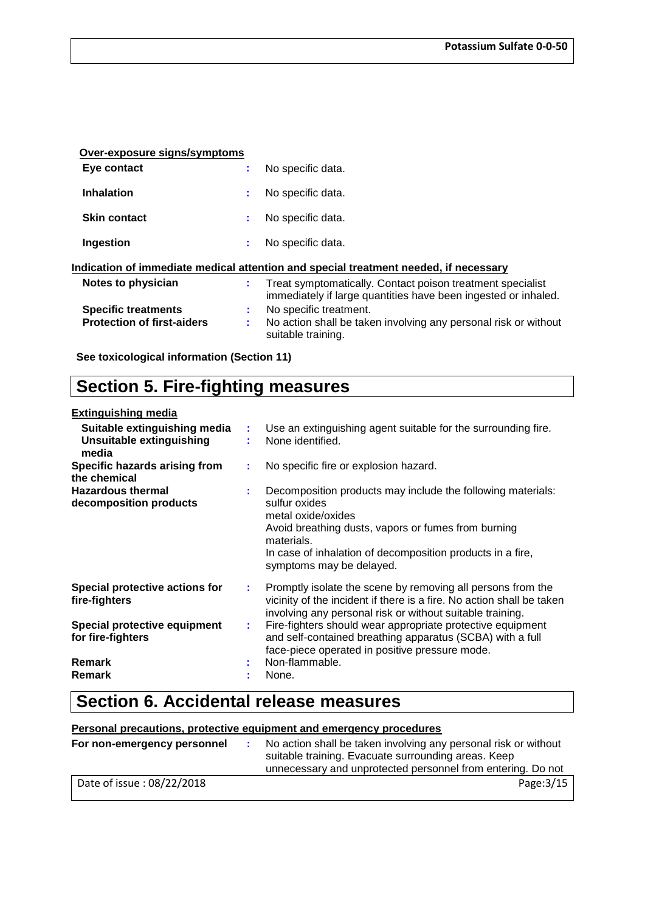| Over-exposure signs/symptoms      |    |                                                                                                                              |
|-----------------------------------|----|------------------------------------------------------------------------------------------------------------------------------|
| Eye contact                       |    | No specific data.                                                                                                            |
| <b>Inhalation</b>                 | ÷  | No specific data.                                                                                                            |
| <b>Skin contact</b>               | ÷  | No specific data.                                                                                                            |
| Ingestion                         | ÷  | No specific data.                                                                                                            |
|                                   |    | Indication of immediate medical attention and special treatment needed, if necessary                                         |
| Notes to physician                | ÷. | Treat symptomatically. Contact poison treatment specialist<br>immediately if large quantities have been ingested or inhaled. |
| <b>Specific treatments</b>        |    | No specific treatment.                                                                                                       |
| <b>Protection of first-aiders</b> | ÷. | No action shall be taken involving any personal risk or without<br>suitable training.                                        |
|                                   |    |                                                                                                                              |

**See toxicological information (Section 11)**

### **Section 5. Fire-fighting measures**

#### **Extinguishing media**

| Suitable extinguishing media<br>Unsuitable extinguishing<br>media | ÷  | Use an extinguishing agent suitable for the surrounding fire.<br>None identified.                                                                                                                                                                                 |
|-------------------------------------------------------------------|----|-------------------------------------------------------------------------------------------------------------------------------------------------------------------------------------------------------------------------------------------------------------------|
| Specific hazards arising from<br>the chemical                     |    | No specific fire or explosion hazard.                                                                                                                                                                                                                             |
| <b>Hazardous thermal</b><br>decomposition products                |    | Decomposition products may include the following materials:<br>sulfur oxides<br>metal oxide/oxides<br>Avoid breathing dusts, vapors or fumes from burning<br>materials.<br>In case of inhalation of decomposition products in a fire,<br>symptoms may be delayed. |
| Special protective actions for<br>fire-fighters                   |    | Promptly isolate the scene by removing all persons from the<br>vicinity of the incident if there is a fire. No action shall be taken<br>involving any personal risk or without suitable training.                                                                 |
| Special protective equipment<br>for fire-fighters                 | ÷. | Fire-fighters should wear appropriate protective equipment<br>and self-contained breathing apparatus (SCBA) with a full<br>face-piece operated in positive pressure mode.                                                                                         |
| <b>Remark</b><br><b>Remark</b>                                    | ٠. | Non-flammable.<br>None.                                                                                                                                                                                                                                           |

### **Section 6. Accidental release measures**

#### **Personal precautions, protective equipment and emergency procedures**

| For non-emergency personnel | No action shall be taken involving any personal risk or without<br>suitable training. Evacuate surrounding areas. Keep<br>unnecessary and unprotected personnel from entering. Do not |
|-----------------------------|---------------------------------------------------------------------------------------------------------------------------------------------------------------------------------------|
| Date of issue: 08/22/2018   | Page: 3/15                                                                                                                                                                            |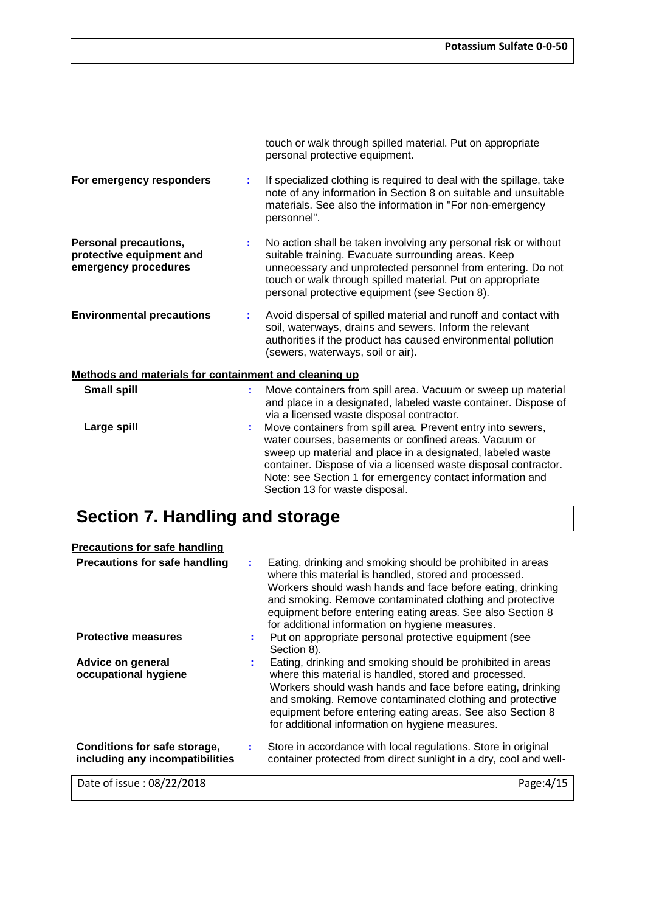|                                                                           |    | touch or walk through spilled material. Put on appropriate<br>personal protective equipment.                                                                                                                                                                                                                                                         |
|---------------------------------------------------------------------------|----|------------------------------------------------------------------------------------------------------------------------------------------------------------------------------------------------------------------------------------------------------------------------------------------------------------------------------------------------------|
| For emergency responders                                                  | ÷. | If specialized clothing is required to deal with the spillage, take<br>note of any information in Section 8 on suitable and unsuitable<br>materials. See also the information in "For non-emergency<br>personnel".                                                                                                                                   |
| Personal precautions,<br>protective equipment and<br>emergency procedures |    | No action shall be taken involving any personal risk or without<br>suitable training. Evacuate surrounding areas. Keep<br>unnecessary and unprotected personnel from entering. Do not<br>touch or walk through spilled material. Put on appropriate<br>personal protective equipment (see Section 8).                                                |
| <b>Environmental precautions</b>                                          |    | Avoid dispersal of spilled material and runoff and contact with<br>soil, waterways, drains and sewers. Inform the relevant<br>authorities if the product has caused environmental pollution<br>(sewers, waterways, soil or air).                                                                                                                     |
| Methods and materials for containment and cleaning up                     |    |                                                                                                                                                                                                                                                                                                                                                      |
| <b>Small spill</b>                                                        | ÷. | Move containers from spill area. Vacuum or sweep up material<br>and place in a designated, labeled waste container. Dispose of<br>via a licensed waste disposal contractor.                                                                                                                                                                          |
| Large spill                                                               |    | Move containers from spill area. Prevent entry into sewers,<br>water courses, basements or confined areas. Vacuum or<br>sweep up material and place in a designated, labeled waste<br>container. Dispose of via a licensed waste disposal contractor.<br>Note: see Section 1 for emergency contact information and<br>Section 13 for waste disposal. |

# **Section 7. Handling and storage**

| <b>Precautions for safe handling</b>                            |                                                                                                                                                                                                                                                                                                                                                                |
|-----------------------------------------------------------------|----------------------------------------------------------------------------------------------------------------------------------------------------------------------------------------------------------------------------------------------------------------------------------------------------------------------------------------------------------------|
| <b>Precautions for safe handling</b>                            | Eating, drinking and smoking should be prohibited in areas<br>where this material is handled, stored and processed.<br>Workers should wash hands and face before eating, drinking<br>and smoking. Remove contaminated clothing and protective<br>equipment before entering eating areas. See also Section 8<br>for additional information on hygiene measures. |
| <b>Protective measures</b>                                      | Put on appropriate personal protective equipment (see<br>Section 8).                                                                                                                                                                                                                                                                                           |
| Advice on general<br>occupational hygiene                       | Eating, drinking and smoking should be prohibited in areas<br>where this material is handled, stored and processed.<br>Workers should wash hands and face before eating, drinking<br>and smoking. Remove contaminated clothing and protective<br>equipment before entering eating areas. See also Section 8<br>for additional information on hygiene measures. |
| Conditions for safe storage,<br>including any incompatibilities | Store in accordance with local regulations. Store in original<br>container protected from direct sunlight in a dry, cool and well-                                                                                                                                                                                                                             |
| Date of issue: 08/22/2018                                       | Page:4/15                                                                                                                                                                                                                                                                                                                                                      |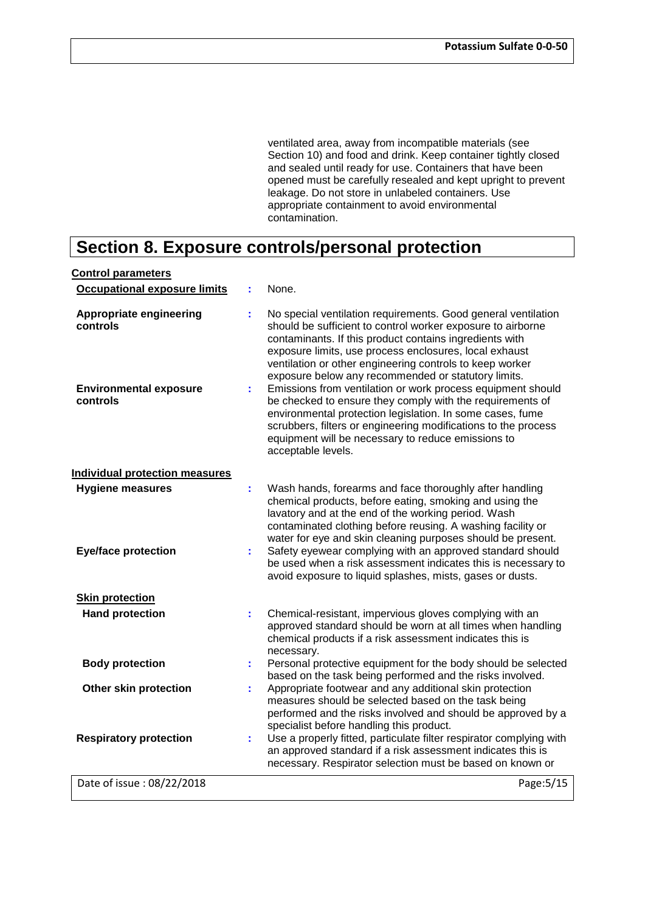ventilated area, away from incompatible materials (see Section 10) and food and drink. Keep container tightly closed and sealed until ready for use. Containers that have been opened must be carefully resealed and kept upright to prevent leakage. Do not store in unlabeled containers. Use appropriate containment to avoid environmental contamination.

### **Section 8. Exposure controls/personal protection**

| <b>Control parameters</b>                                                               |          |                                                                                                                                                                                                                                                                                                                                                                                                                                                                                                                                                                                                                                                                                                             |
|-----------------------------------------------------------------------------------------|----------|-------------------------------------------------------------------------------------------------------------------------------------------------------------------------------------------------------------------------------------------------------------------------------------------------------------------------------------------------------------------------------------------------------------------------------------------------------------------------------------------------------------------------------------------------------------------------------------------------------------------------------------------------------------------------------------------------------------|
| <b>Occupational exposure limits</b>                                                     |          | None.                                                                                                                                                                                                                                                                                                                                                                                                                                                                                                                                                                                                                                                                                                       |
| <b>Appropriate engineering</b><br>controls<br><b>Environmental exposure</b><br>controls | t<br>÷.  | No special ventilation requirements. Good general ventilation<br>should be sufficient to control worker exposure to airborne<br>contaminants. If this product contains ingredients with<br>exposure limits, use process enclosures, local exhaust<br>ventilation or other engineering controls to keep worker<br>exposure below any recommended or statutory limits.<br>Emissions from ventilation or work process equipment should<br>be checked to ensure they comply with the requirements of<br>environmental protection legislation. In some cases, fume<br>scrubbers, filters or engineering modifications to the process<br>equipment will be necessary to reduce emissions to<br>acceptable levels. |
| <b>Individual protection measures</b>                                                   |          |                                                                                                                                                                                                                                                                                                                                                                                                                                                                                                                                                                                                                                                                                                             |
| <b>Hygiene measures</b><br><b>Eye/face protection</b>                                   | ÷.<br>÷. | Wash hands, forearms and face thoroughly after handling<br>chemical products, before eating, smoking and using the<br>lavatory and at the end of the working period. Wash<br>contaminated clothing before reusing. A washing facility or<br>water for eye and skin cleaning purposes should be present.<br>Safety eyewear complying with an approved standard should<br>be used when a risk assessment indicates this is necessary to<br>avoid exposure to liquid splashes, mists, gases or dusts.                                                                                                                                                                                                          |
| <b>Skin protection</b>                                                                  |          |                                                                                                                                                                                                                                                                                                                                                                                                                                                                                                                                                                                                                                                                                                             |
| <b>Hand protection</b>                                                                  | ÷.       | Chemical-resistant, impervious gloves complying with an<br>approved standard should be worn at all times when handling<br>chemical products if a risk assessment indicates this is<br>necessary.                                                                                                                                                                                                                                                                                                                                                                                                                                                                                                            |
| <b>Body protection</b>                                                                  | ÷.       | Personal protective equipment for the body should be selected<br>based on the task being performed and the risks involved.                                                                                                                                                                                                                                                                                                                                                                                                                                                                                                                                                                                  |
| Other skin protection                                                                   | t.       | Appropriate footwear and any additional skin protection<br>measures should be selected based on the task being<br>performed and the risks involved and should be approved by a<br>specialist before handling this product.                                                                                                                                                                                                                                                                                                                                                                                                                                                                                  |
| <b>Respiratory protection</b>                                                           | ÷.       | Use a properly fitted, particulate filter respirator complying with<br>an approved standard if a risk assessment indicates this is<br>necessary. Respirator selection must be based on known or                                                                                                                                                                                                                                                                                                                                                                                                                                                                                                             |
| Date of issue: 08/22/2018                                                               |          | Page: 5/15                                                                                                                                                                                                                                                                                                                                                                                                                                                                                                                                                                                                                                                                                                  |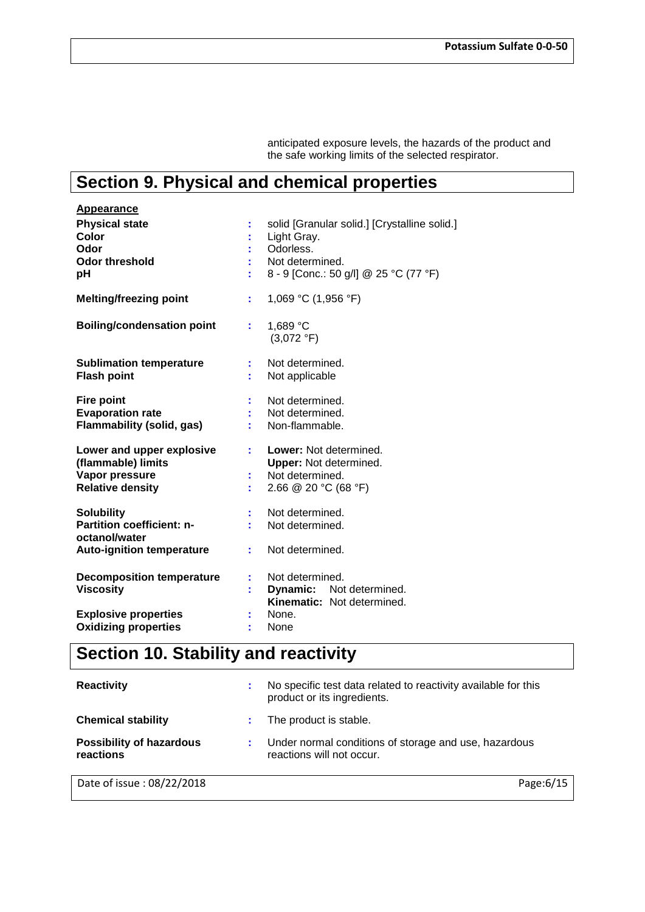anticipated exposure levels, the hazards of the product and the safe working limits of the selected respirator.

# **Section 9. Physical and chemical properties**

| <b>Appearance</b>                 |    |                                              |
|-----------------------------------|----|----------------------------------------------|
| <b>Physical state</b>             |    | solid [Granular solid.] [Crystalline solid.] |
| Color                             |    | Light Gray.                                  |
| Odor                              |    | Odorless.                                    |
| <b>Odor threshold</b>             |    | Not determined.                              |
| рH                                |    | 8 - 9 [Conc.: 50 g/l] @ 25 °C (77 °F)        |
| <b>Melting/freezing point</b>     | t. | 1,069 °C (1,956 °F)                          |
| <b>Boiling/condensation point</b> | t. | 1,689 °C<br>(3,072 °F)                       |
| <b>Sublimation temperature</b>    |    | Not determined.                              |
| <b>Flash point</b>                |    | Not applicable                               |
|                                   |    |                                              |
| <b>Fire point</b>                 |    | Not determined.                              |
| <b>Evaporation rate</b>           |    | Not determined.                              |
| <b>Flammability (solid, gas)</b>  |    | Non-flammable.                               |
| Lower and upper explosive         |    | Lower: Not determined.                       |
| (flammable) limits                |    | <b>Upper:</b> Not determined.                |
| Vapor pressure                    |    | Not determined.                              |
| <b>Relative density</b>           |    | 2.66 @ 20 °C (68 °F)                         |
| <b>Solubility</b>                 |    | Not determined.                              |
| <b>Partition coefficient: n-</b>  |    | Not determined.                              |
| octanol/water                     |    |                                              |
| <b>Auto-ignition temperature</b>  | ÷. | Not determined.                              |
| <b>Decomposition temperature</b>  |    | Not determined.                              |
| <b>Viscosity</b>                  |    | <b>Dynamic:</b> Not determined.              |
|                                   |    | <b>Kinematic:</b> Not determined.            |
| <b>Explosive properties</b>       |    | None.                                        |
| <b>Oxidizing properties</b>       |    | None                                         |

# **Section 10. Stability and reactivity**

| <b>Reactivity</b>                            | ÷. | No specific test data related to reactivity available for this<br>product or its ingredients. |
|----------------------------------------------|----|-----------------------------------------------------------------------------------------------|
| <b>Chemical stability</b>                    |    | The product is stable.                                                                        |
| <b>Possibility of hazardous</b><br>reactions |    | Under normal conditions of storage and use, hazardous<br>reactions will not occur.            |
| Date of issue: 08/22/2018                    |    | Page:6/15                                                                                     |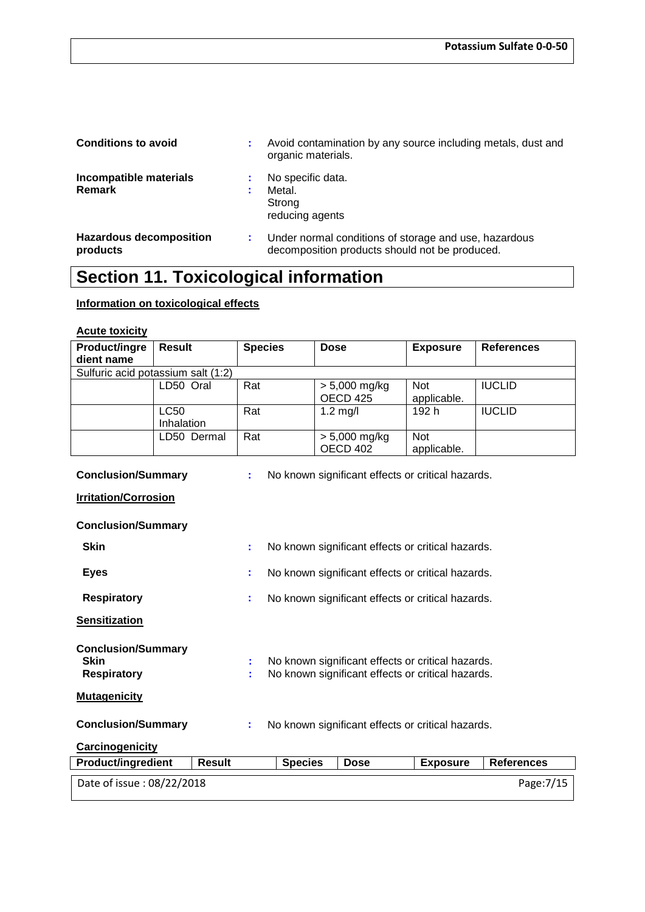| <b>Conditions to avoid</b>                 | Avoid contamination by any source including metals, dust and<br>organic materials.                      |
|--------------------------------------------|---------------------------------------------------------------------------------------------------------|
| Incompatible materials<br><b>Remark</b>    | No specific data.<br>Metal.<br>Strong<br>reducing agents                                                |
| <b>Hazardous decomposition</b><br>products | Under normal conditions of storage and use, hazardous<br>decomposition products should not be produced. |

# **Section 11. Toxicological information**

#### **Information on toxicological effects**

### **Acute toxicity**

| Product/ingre                                                                       | <b>Result</b>                                                                                                                                  | <b>Species</b> |                                                   | <b>Dose</b>                                       | <b>Exposure</b> | <b>References</b> |  |  |
|-------------------------------------------------------------------------------------|------------------------------------------------------------------------------------------------------------------------------------------------|----------------|---------------------------------------------------|---------------------------------------------------|-----------------|-------------------|--|--|
| dient name                                                                          |                                                                                                                                                |                |                                                   |                                                   |                 |                   |  |  |
|                                                                                     | Sulfuric acid potassium salt (1:2)                                                                                                             |                |                                                   |                                                   |                 |                   |  |  |
|                                                                                     | LD50 Oral                                                                                                                                      | Rat            |                                                   | $> 5,000$ mg/kg                                   | <b>Not</b>      | <b>IUCLID</b>     |  |  |
|                                                                                     |                                                                                                                                                |                |                                                   | OECD 425                                          | applicable.     |                   |  |  |
|                                                                                     | <b>LC50</b><br>Inhalation                                                                                                                      | Rat            |                                                   | $1.2 \text{ mg/l}$                                | 192 h           | <b>IUCLID</b>     |  |  |
|                                                                                     | LD50 Dermal                                                                                                                                    | Rat            |                                                   | $> 5,000$ mg/kg                                   | <b>Not</b>      |                   |  |  |
|                                                                                     |                                                                                                                                                |                |                                                   | <b>OECD 402</b>                                   | applicable.     |                   |  |  |
| <b>Conclusion/Summary</b><br>No known significant effects or critical hazards.<br>÷ |                                                                                                                                                |                |                                                   |                                                   |                 |                   |  |  |
| <b>Irritation/Corrosion</b>                                                         |                                                                                                                                                |                |                                                   |                                                   |                 |                   |  |  |
| <b>Conclusion/Summary</b>                                                           |                                                                                                                                                |                |                                                   |                                                   |                 |                   |  |  |
| <b>Skin</b>                                                                         |                                                                                                                                                | ÷              |                                                   | No known significant effects or critical hazards. |                 |                   |  |  |
| <b>Eyes</b>                                                                         |                                                                                                                                                | ÷              | No known significant effects or critical hazards. |                                                   |                 |                   |  |  |
| <b>Respiratory</b>                                                                  |                                                                                                                                                | ÷              | No known significant effects or critical hazards. |                                                   |                 |                   |  |  |
| <b>Sensitization</b>                                                                |                                                                                                                                                |                |                                                   |                                                   |                 |                   |  |  |
| <b>Skin</b><br><b>Respiratory</b>                                                   | <b>Conclusion/Summary</b><br>No known significant effects or critical hazards.<br>÷<br>No known significant effects or critical hazards.<br>t. |                |                                                   |                                                   |                 |                   |  |  |
| <b>Mutagenicity</b>                                                                 |                                                                                                                                                |                |                                                   |                                                   |                 |                   |  |  |
|                                                                                     | <b>Conclusion/Summary</b><br>No known significant effects or critical hazards.<br>÷                                                            |                |                                                   |                                                   |                 |                   |  |  |
| Carcinogenicity                                                                     |                                                                                                                                                |                |                                                   |                                                   |                 |                   |  |  |
| <b>Product/ingredient</b>                                                           | <b>Result</b>                                                                                                                                  |                | <b>Species</b>                                    | <b>Dose</b>                                       | <b>Exposure</b> | <b>References</b> |  |  |
| Date of issue: 08/22/2018                                                           |                                                                                                                                                |                |                                                   |                                                   |                 | Page: 7/15        |  |  |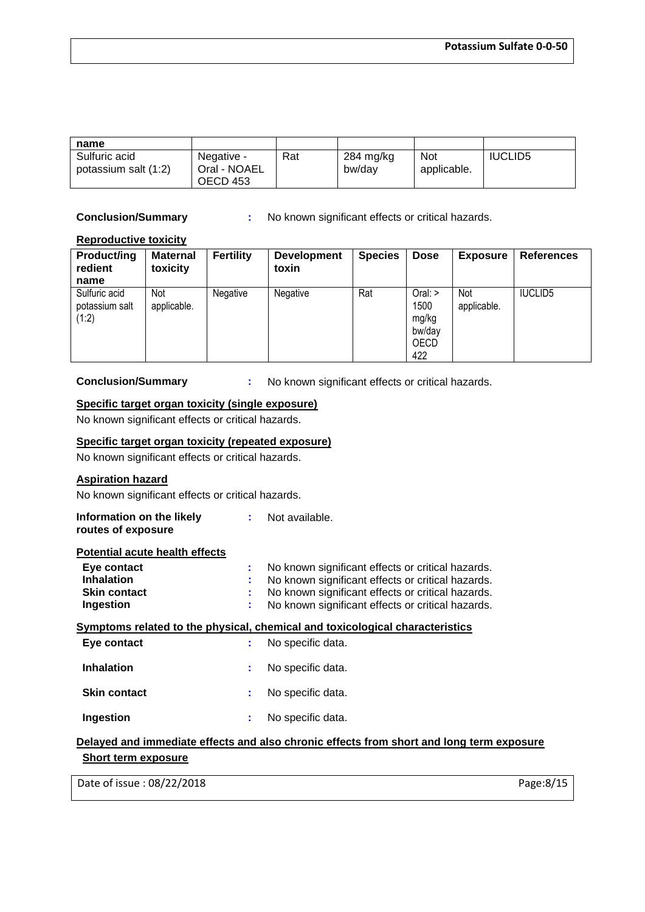| name                                  |                                        |     |                     |                           |                |
|---------------------------------------|----------------------------------------|-----|---------------------|---------------------------|----------------|
| Sulfuric acid<br>potassium salt (1:2) | Negative -<br>Oral - NOAEL<br>OECD 453 | Rat | 284 mg/kg<br>bw/day | <b>Not</b><br>applicable. | <b>IUCLID5</b> |

**Conclusion/Summary :** No known significant effects or critical hazards.

#### **Reproductive toxicity**

| <b>Product/ing</b><br>redient<br>name    | <b>Maternal</b><br>toxicity | Fertility | <b>Development</b><br>toxin | <b>Species</b> | <b>Dose</b>                                     | <b>Exposure</b>    | <b>References</b> |
|------------------------------------------|-----------------------------|-----------|-----------------------------|----------------|-------------------------------------------------|--------------------|-------------------|
| Sulfuric acid<br>potassium salt<br>(1:2) | Not<br>applicable.          | Negative  | Negative                    | Rat            | Oral:<br>1500<br>mg/kg<br>bw/dav<br>OECD<br>422 | Not<br>applicable. | <b>IUCLID5</b>    |

**Conclusion/Summary :** No known significant effects or critical hazards.

#### **Specific target organ toxicity (single exposure)**

No known significant effects or critical hazards.

#### **Specific target organ toxicity (repeated exposure)**

No known significant effects or critical hazards.

#### **Aspiration hazard**

No known significant effects or critical hazards.

| Information on the likely | Not available. |
|---------------------------|----------------|
| routes of exposure        |                |

#### **Potential acute health effects**

| Eye contact         | : No known significant effects or critical hazards.                          |
|---------------------|------------------------------------------------------------------------------|
| <b>Inhalation</b>   | : No known significant effects or critical hazards.                          |
| <b>Skin contact</b> | : No known significant effects or critical hazards.                          |
| Ingestion           | : No known significant effects or critical hazards.                          |
|                     | Symptoms related to the physical, chemical and toxicological characteristics |

| Eye contact         | No specific data. |
|---------------------|-------------------|
| <b>Inhalation</b>   | No specific data. |
| <b>Skin contact</b> | No specific data. |
| Ingestion           | No specific data. |

#### **Delayed and immediate effects and also chronic effects from short and long term exposure Short term exposure**

Date of issue : 08/22/2018 Page:8/15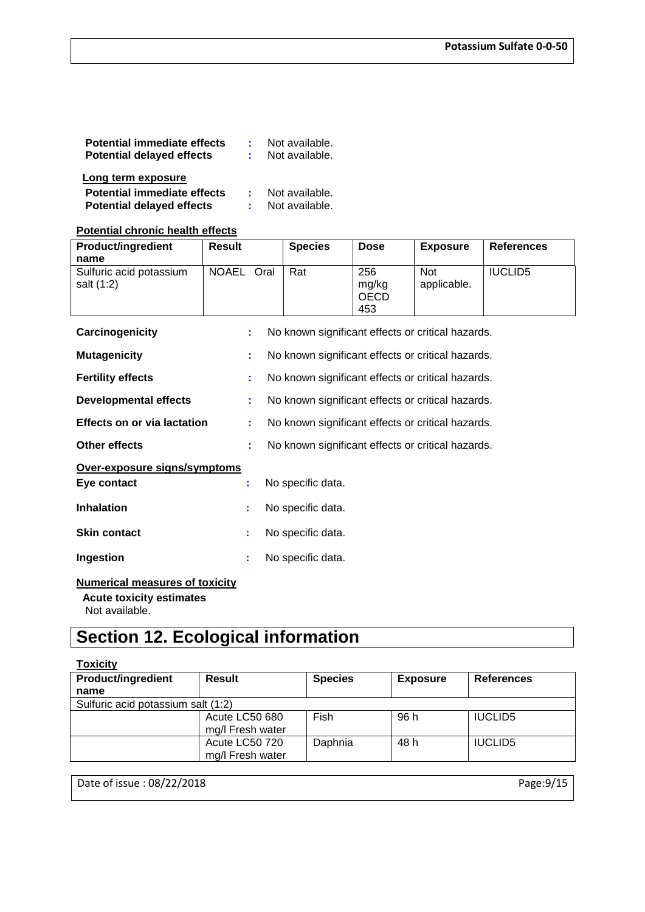| <b>Potential immediate effects</b><br><b>Potential delayed effects</b> | Not available.<br>Not available. |
|------------------------------------------------------------------------|----------------------------------|
| Long term exposure                                                     |                                  |
| <b>Potential immediate effects</b><br><b>Potential delayed effects</b> | Not available.<br>Not available. |

#### **Potential chronic health effects**

| <b>Product/ingredient</b><br>name                                    | Result     | <b>Species</b> | <b>Dose</b>                        | <b>Exposure</b>           | <b>References</b> |  |  |  |
|----------------------------------------------------------------------|------------|----------------|------------------------------------|---------------------------|-------------------|--|--|--|
| Sulfuric acid potassium<br>salt (1:2)                                | NOAEL Oral | Rat            | 256<br>mg/kg<br><b>OECD</b><br>453 | <b>Not</b><br>applicable. | <b>IUCLID5</b>    |  |  |  |
| Carcinogenicity<br>No known significant effects or critical hazards. |            |                |                                    |                           |                   |  |  |  |

| <b>Mutagenicity</b>                         | ÷  | No known significant effects or critical hazards. |
|---------------------------------------------|----|---------------------------------------------------|
| <b>Fertility effects</b>                    | ÷  | No known significant effects or critical hazards. |
| <b>Developmental effects</b>                | ÷. | No known significant effects or critical hazards. |
| <b>Effects on or via lactation</b>          | ÷. | No known significant effects or critical hazards. |
| Other effects                               | ÷. | No known significant effects or critical hazards. |
| Over-exposure signs/symptoms<br>Eye contact | ÷. | No specific data.                                 |
| <b>Inhalation</b>                           | ÷. | No specific data.                                 |
| <b>Skin contact</b>                         | ÷. | No specific data.                                 |
| Ingestion                                   | ÷  | No specific data.                                 |
|                                             |    |                                                   |

#### **Numerical measures of toxicity**

 **Acute toxicity estimates**

Not available.

# **Section 12. Ecological information**

#### **Toxicity**

| <b>Product/ingredient</b>          | Result           | <b>Species</b> | <b>Exposure</b> | <b>References</b> |
|------------------------------------|------------------|----------------|-----------------|-------------------|
| name                               |                  |                |                 |                   |
| Sulfuric acid potassium salt (1:2) |                  |                |                 |                   |
|                                    | Acute LC50 680   | <b>Fish</b>    | 96 h            | <b>IUCLID5</b>    |
|                                    | mg/l Fresh water |                |                 |                   |
|                                    | Acute LC50 720   | Daphnia        | 48 h            | <b>IUCLID5</b>    |
|                                    | mg/l Fresh water |                |                 |                   |

Date of issue : 08/22/2018 Page:9/15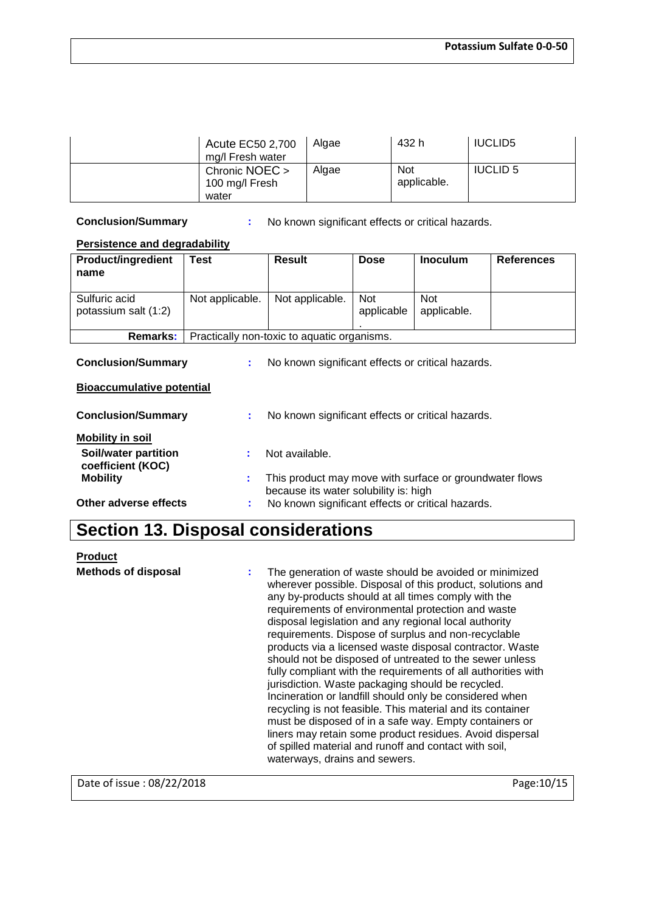| Acute EC50 2,700<br>mg/l Fresh water      | Algae | 432 h                     | <b>IUCLID5</b>  |
|-------------------------------------------|-------|---------------------------|-----------------|
| Chronic NOEC ><br>100 mg/l Fresh<br>water | Algae | <b>Not</b><br>applicable. | <b>IUCLID 5</b> |

**Conclusion/Summary :** No known significant effects or critical hazards.

#### **Persistence and degradability**

| <b>Product/ingredient</b><br>name     | Test            | Result                                      | <b>Dose</b>              | <b>Inoculum</b>           | <b>References</b> |
|---------------------------------------|-----------------|---------------------------------------------|--------------------------|---------------------------|-------------------|
| Sulfuric acid<br>potassium salt (1:2) | Not applicable. | Not applicable.                             | <b>Not</b><br>applicable | <b>Not</b><br>applicable. |                   |
| <b>Remarks:</b>                       |                 | Practically non-toxic to aquatic organisms. |                          |                           |                   |

**Conclusion/Summary :** No known significant effects or critical hazards.

#### **Bioaccumulative potential**

| <b>Conclusion/Summary</b>                 |    | No known significant effects or critical hazards.                                                |
|-------------------------------------------|----|--------------------------------------------------------------------------------------------------|
| <b>Mobility in soil</b>                   |    |                                                                                                  |
| Soil/water partition<br>coefficient (KOC) | ÷. | Not available.                                                                                   |
| <b>Mobility</b>                           | t. | This product may move with surface or groundwater flows<br>because its water solubility is: high |
| Other adverse effects                     |    | No known significant effects or critical hazards.                                                |

### **Section 13. Disposal considerations**

| <b>Product</b>             |                                                                                                                                                                                                                                                                                                                                                                                                                                                                                                                                                                                                                                                                                                                                                                                                                                                                                                                                         |
|----------------------------|-----------------------------------------------------------------------------------------------------------------------------------------------------------------------------------------------------------------------------------------------------------------------------------------------------------------------------------------------------------------------------------------------------------------------------------------------------------------------------------------------------------------------------------------------------------------------------------------------------------------------------------------------------------------------------------------------------------------------------------------------------------------------------------------------------------------------------------------------------------------------------------------------------------------------------------------|
| <b>Methods of disposal</b> | The generation of waste should be avoided or minimized<br>wherever possible. Disposal of this product, solutions and<br>any by-products should at all times comply with the<br>requirements of environmental protection and waste<br>disposal legislation and any regional local authority<br>requirements. Dispose of surplus and non-recyclable<br>products via a licensed waste disposal contractor. Waste<br>should not be disposed of untreated to the sewer unless<br>fully compliant with the requirements of all authorities with<br>jurisdiction. Waste packaging should be recycled.<br>Incineration or landfill should only be considered when<br>recycling is not feasible. This material and its container<br>must be disposed of in a safe way. Empty containers or<br>liners may retain some product residues. Avoid dispersal<br>of spilled material and runoff and contact with soil,<br>waterways, drains and sewers. |

Date of issue : 08/22/2018 Page: 10/15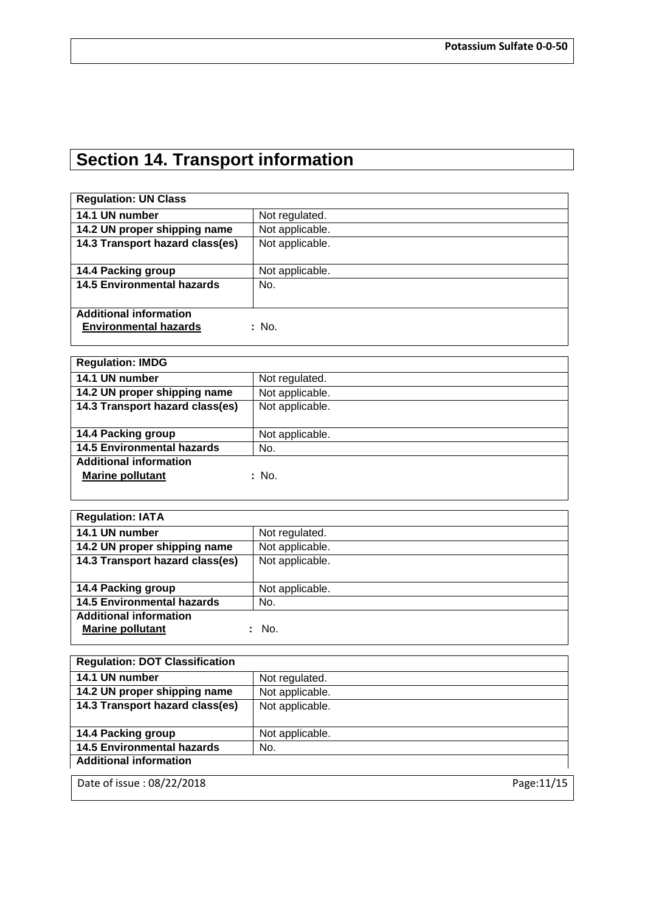# **Section 14. Transport information**

| <b>Regulation: UN Class</b>       |                 |
|-----------------------------------|-----------------|
| 14.1 UN number                    | Not regulated.  |
| 14.2 UN proper shipping name      | Not applicable. |
| 14.3 Transport hazard class(es)   | Not applicable. |
|                                   |                 |
| 14.4 Packing group                | Not applicable. |
| <b>14.5 Environmental hazards</b> | No.             |
|                                   |                 |
| <b>Additional information</b>     |                 |
| <b>Environmental hazards</b>      | : No.           |
|                                   |                 |

| <b>Regulation: IMDG</b>           |                 |
|-----------------------------------|-----------------|
| 14.1 UN number                    | Not regulated.  |
| 14.2 UN proper shipping name      | Not applicable. |
| 14.3 Transport hazard class(es)   | Not applicable. |
|                                   |                 |
| 14.4 Packing group                | Not applicable. |
| <b>14.5 Environmental hazards</b> | No.             |
| <b>Additional information</b>     |                 |
| <b>Marine pollutant</b>           | : No.           |
|                                   |                 |

| <b>Regulation: IATA</b>           |                 |
|-----------------------------------|-----------------|
| 14.1 UN number                    | Not regulated.  |
| 14.2 UN proper shipping name      | Not applicable. |
| 14.3 Transport hazard class(es)   | Not applicable. |
|                                   |                 |
| 14.4 Packing group                | Not applicable. |
| <b>14.5 Environmental hazards</b> | No.             |
| <b>Additional information</b>     |                 |
| <b>Marine pollutant</b>           | No.             |
|                                   |                 |

| <b>Regulation: DOT Classification</b> |                 |             |
|---------------------------------------|-----------------|-------------|
| 14.1 UN number                        | Not regulated.  |             |
| 14.2 UN proper shipping name          | Not applicable. |             |
| 14.3 Transport hazard class(es)       | Not applicable. |             |
|                                       |                 |             |
| 14.4 Packing group                    | Not applicable. |             |
| <b>14.5 Environmental hazards</b>     | No.             |             |
| <b>Additional information</b>         |                 |             |
| Date of issue: 08/22/2018             |                 | Page: 11/15 |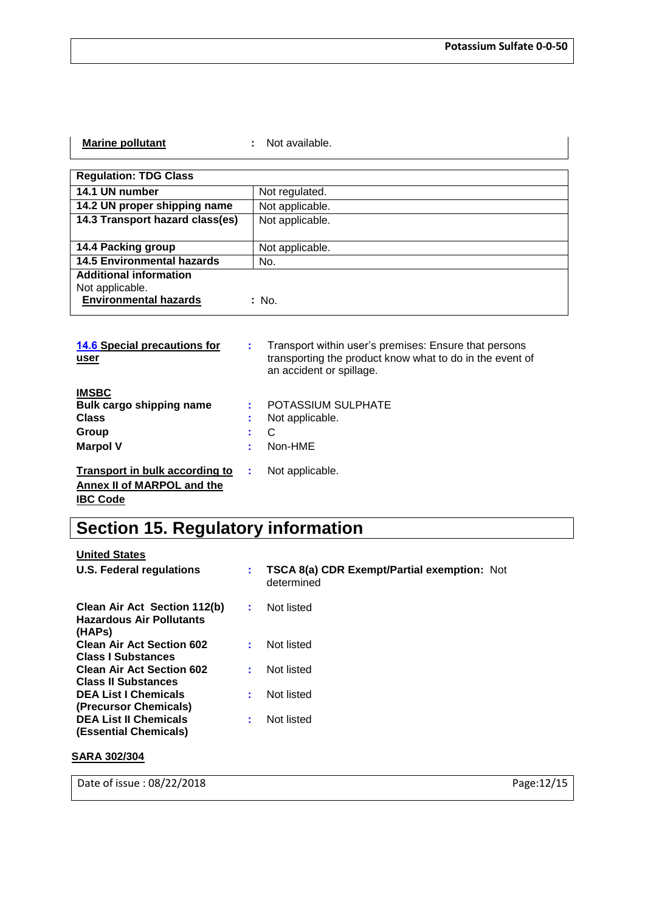| <b>Marine pollutant</b>           | Not available.  |
|-----------------------------------|-----------------|
|                                   |                 |
| <b>Regulation: TDG Class</b>      |                 |
| 14.1 UN number                    | Not regulated.  |
| 14.2 UN proper shipping name      | Not applicable. |
| 14.3 Transport hazard class(es)   | Not applicable. |
|                                   |                 |
| 14.4 Packing group                | Not applicable. |
| <b>14.5 Environmental hazards</b> | No.             |
| <b>Additional information</b>     |                 |
| Not applicable.                   |                 |
| <b>Environmental hazards</b>      | : No.           |

| <b>14.6 Special precautions for</b><br>user |   | Transport within user's premises: Ensure that persons<br>transporting the product know what to do in the event of<br>an accident or spillage. |
|---------------------------------------------|---|-----------------------------------------------------------------------------------------------------------------------------------------------|
| <b>IMSBC</b>                                |   |                                                                                                                                               |
| Bulk cargo shipping name                    |   | POTASSIUM SULPHATE                                                                                                                            |
| <b>Class</b>                                | ÷ | Not applicable.                                                                                                                               |
| Group                                       |   | C                                                                                                                                             |
| <b>Marpol V</b>                             |   | Non-HME                                                                                                                                       |
| Transport in bulk according to              | ÷ | Not applicable.                                                                                                                               |
| Annex II of MARPOL and the                  |   |                                                                                                                                               |
| <b>IBC Code</b>                             |   |                                                                                                                                               |

# **Section 15. Regulatory information**

| <b>TSCA 8(a) CDR Exempt/Partial exemption: Not</b><br>determined |
|------------------------------------------------------------------|
| Not listed                                                       |
| Not listed                                                       |
| Not listed                                                       |
| Not listed                                                       |
| Not listed                                                       |
|                                                                  |

#### **SARA 302/304**

Date of issue : 08/22/2018 Page:12/15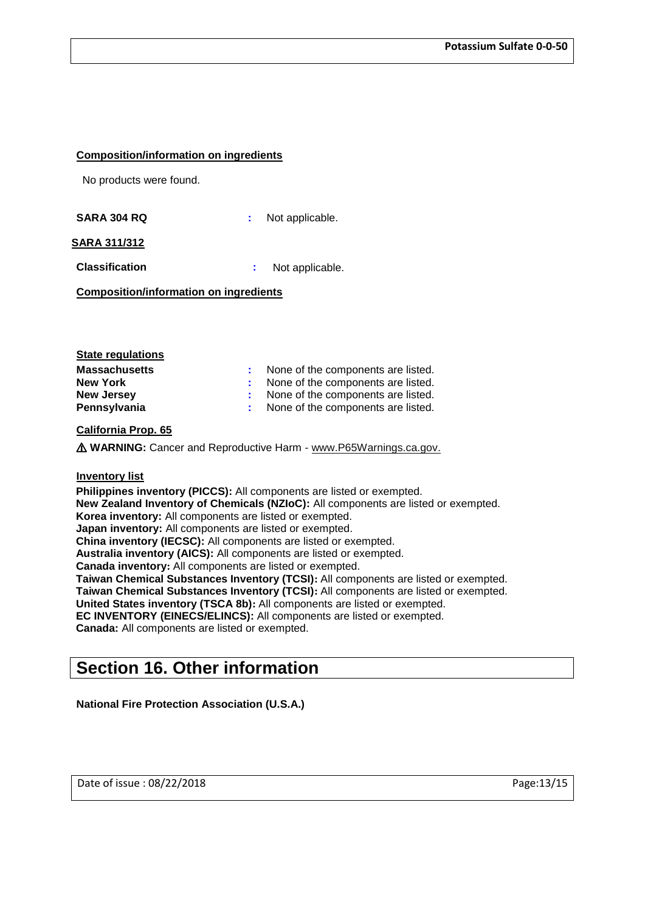#### **Composition/information on ingredients**

No products were found.

**SARA 304 RQ :** Not applicable.

#### **SARA 311/312**

**Classification :** Not applicable.

**Composition/information on ingredients**

| : None of the components are listed. |
|--------------------------------------|
| : None of the components are listed. |
| : None of the components are listed. |
| : None of the components are listed. |
|                                      |

#### **California Prop. 65**

⚠ **WARNING:** Cancer and Reproductive Harm - www.P65Warnings.ca.gov.

#### **Inventory list**

**Philippines inventory (PICCS):** All components are listed or exempted. **New Zealand Inventory of Chemicals (NZIoC):** All components are listed or exempted. **Korea inventory:** All components are listed or exempted. **Japan inventory:** All components are listed or exempted. **China inventory (IECSC):** All components are listed or exempted. **Australia inventory (AICS):** All components are listed or exempted. **Canada inventory:** All components are listed or exempted. **Taiwan Chemical Substances Inventory (TCSI):** All components are listed or exempted. **Taiwan Chemical Substances Inventory (TCSI):** All components are listed or exempted. **United States inventory (TSCA 8b):** All components are listed or exempted. **EC INVENTORY (EINECS/ELINCS):** All components are listed or exempted. **Canada:** All components are listed or exempted.

### **Section 16. Other information**

**National Fire Protection Association (U.S.A.)**

Date of issue : 08/22/2018 **Page:**13/15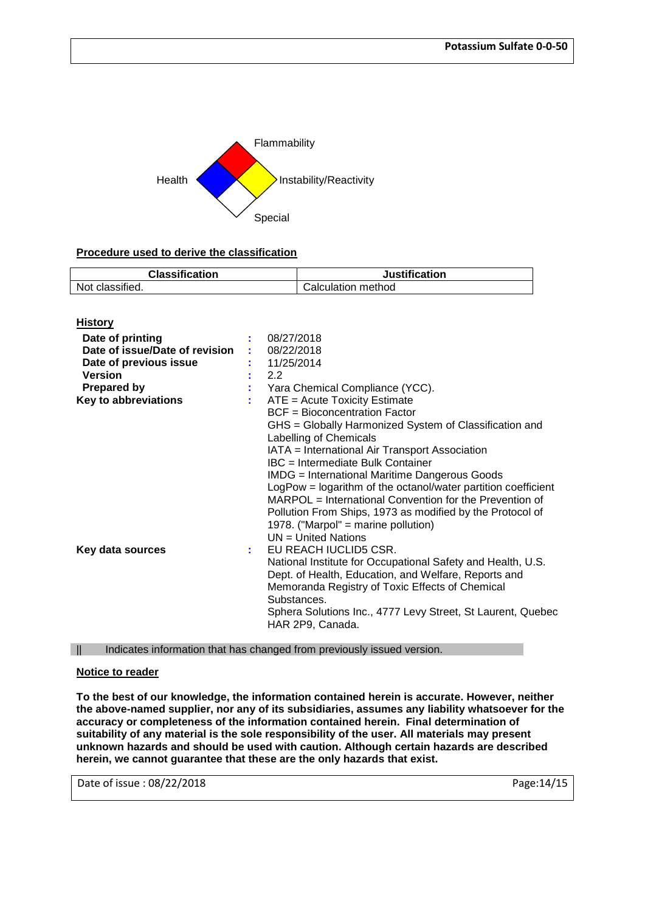

#### **Procedure used to derive the classification**

| <b>Classification</b> | <b>Justification</b> |
|-----------------------|----------------------|
| Not classified.       | Calculation method   |
|                       |                      |

| <b>History</b>                                                                                                                               |          |                                                                                                                                                                                                                                                                                                                                                                                                                                                                                                                                                                                                                                       |
|----------------------------------------------------------------------------------------------------------------------------------------------|----------|---------------------------------------------------------------------------------------------------------------------------------------------------------------------------------------------------------------------------------------------------------------------------------------------------------------------------------------------------------------------------------------------------------------------------------------------------------------------------------------------------------------------------------------------------------------------------------------------------------------------------------------|
| Date of printing<br>Date of issue/Date of revision<br>Date of previous issue<br><b>Version</b><br>Prepared by<br><b>Key to abbreviations</b> | t.<br>t. | 08/27/2018<br>08/22/2018<br>: 11/25/2014<br>2.2<br>Yara Chemical Compliance (YCC).<br>ATE = Acute Toxicity Estimate<br><b>BCF</b> = Bioconcentration Factor<br>GHS = Globally Harmonized System of Classification and<br>Labelling of Chemicals<br>IATA = International Air Transport Association<br><b>IBC</b> = Intermediate Bulk Container<br><b>IMDG</b> = International Maritime Dangerous Goods<br>LogPow = logarithm of the octanol/water partition coefficient<br>MARPOL = International Convention for the Prevention of<br>Pollution From Ships, 1973 as modified by the Protocol of<br>1978. ("Marpol" = marine pollution) |
| Key data sources                                                                                                                             | ÷.       | $UN = United Nations$<br>EU REACH IUCLID5 CSR.<br>National Institute for Occupational Safety and Health, U.S.<br>Dept. of Health, Education, and Welfare, Reports and<br>Memoranda Registry of Toxic Effects of Chemical<br>Substances.<br>Sphera Solutions Inc., 4777 Levy Street, St Laurent, Quebec<br>HAR 2P9, Canada.                                                                                                                                                                                                                                                                                                            |

|| Indicates information that has changed from previously issued version.

#### **Notice to reader**

**To the best of our knowledge, the information contained herein is accurate. However, neither the above-named supplier, nor any of its subsidiaries, assumes any liability whatsoever for the accuracy or completeness of the information contained herein. Final determination of suitability of any material is the sole responsibility of the user. All materials may present unknown hazards and should be used with caution. Although certain hazards are described herein, we cannot guarantee that these are the only hazards that exist.**

Date of issue : 08/22/2018 **Page:**14/15